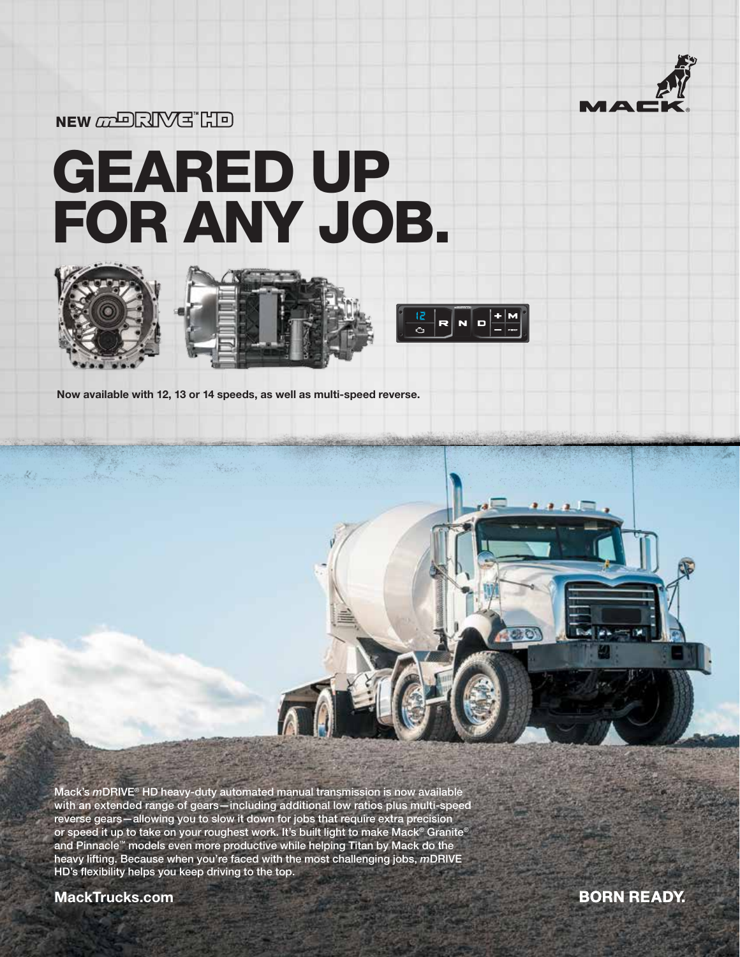

NEW COLORATORY GET CHE

# GEARED UP FOR ANY JOB.







Now available with 12, 13 or 14 speeds, as well as multi-speed reverse.



MackTrucks.com

**BORN READY.**